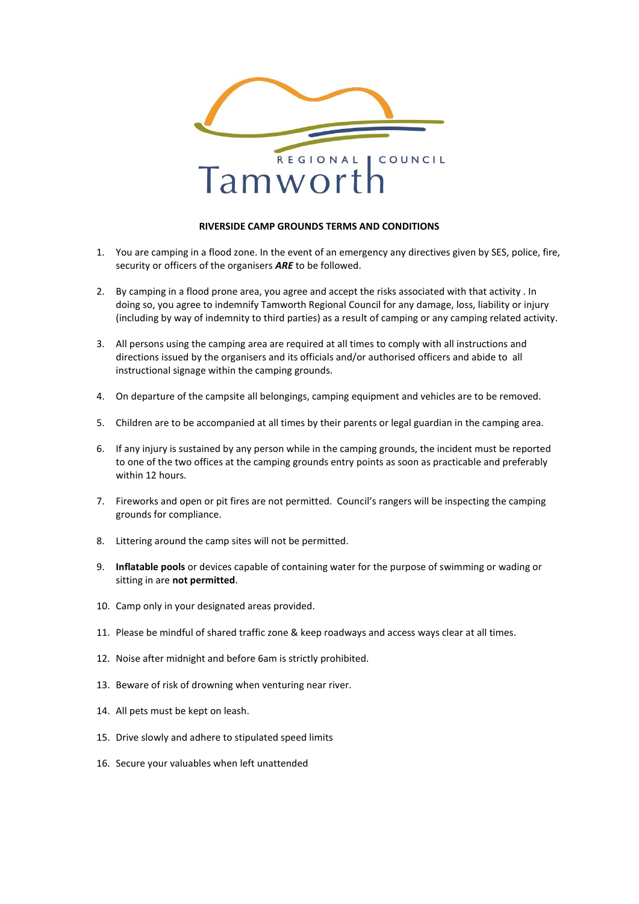

## **RIVERSIDE CAMP GROUNDS TERMS AND CONDITIONS**

- 1. You are camping in a flood zone. In the event of an emergency any directives given by SES, police, fire, security or officers of the organisers *ARE* to be followed.
- 2. By camping in a flood prone area, you agree and accept the risks associated with that activity . In doing so, you agree to indemnify Tamworth Regional Council for any damage, loss, liability or injury (including by way of indemnity to third parties) as a result of camping or any camping related activity.
- 3. All persons using the camping area are required at all times to comply with all instructions and directions issued by the organisers and its officials and/or authorised officers and abide to all instructional signage within the camping grounds.
- 4. On departure of the campsite all belongings, camping equipment and vehicles are to be removed.
- 5. Children are to be accompanied at all times by their parents or legal guardian in the camping area.
- 6. If any injury is sustained by any person while in the camping grounds, the incident must be reported to one of the two offices at the camping grounds entry points as soon as practicable and preferably within 12 hours.
- 7. Fireworks and open or pit fires are not permitted. Council's rangers will be inspecting the camping grounds for compliance.
- 8. Littering around the camp sites will not be permitted.
- 9. **Inflatable pools** or devices capable of containing water for the purpose of swimming or wading or sitting in are **not permitted**.
- 10. Camp only in your designated areas provided.
- 11. Please be mindful of shared traffic zone & keep roadways and access ways clear at all times.
- 12. Noise after midnight and before 6am is strictly prohibited.
- 13. Beware of risk of drowning when venturing near river.
- 14. All pets must be kept on leash.
- 15. Drive slowly and adhere to stipulated speed limits
- 16. Secure your valuables when left unattended